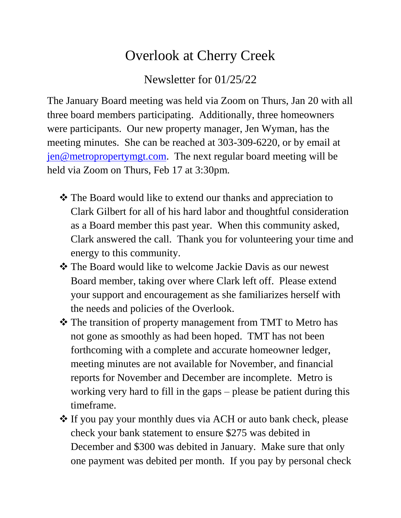## Overlook at Cherry Creek

Newsletter for 01/25/22

The January Board meeting was held via Zoom on Thurs, Jan 20 with all three board members participating. Additionally, three homeowners were participants. Our new property manager, Jen Wyman, has the meeting minutes. She can be reached at 303-309-6220, or by email at [jen@metropropertymgt.com.](mailto:jen@metropropertymgt.com) The next regular board meeting will be held via Zoom on Thurs, Feb 17 at 3:30pm.

- **\*** The Board would like to extend our thanks and appreciation to Clark Gilbert for all of his hard labor and thoughtful consideration as a Board member this past year. When this community asked, Clark answered the call. Thank you for volunteering your time and energy to this community.
- $\triangle$  The Board would like to welcome Jackie Davis as our newest Board member, taking over where Clark left off. Please extend your support and encouragement as she familiarizes herself with the needs and policies of the Overlook.
- \* The transition of property management from TMT to Metro has not gone as smoothly as had been hoped. TMT has not been forthcoming with a complete and accurate homeowner ledger, meeting minutes are not available for November, and financial reports for November and December are incomplete. Metro is working very hard to fill in the gaps – please be patient during this timeframe.
- If you pay your monthly dues via ACH or auto bank check, please check your bank statement to ensure \$275 was debited in December and \$300 was debited in January. Make sure that only one payment was debited per month. If you pay by personal check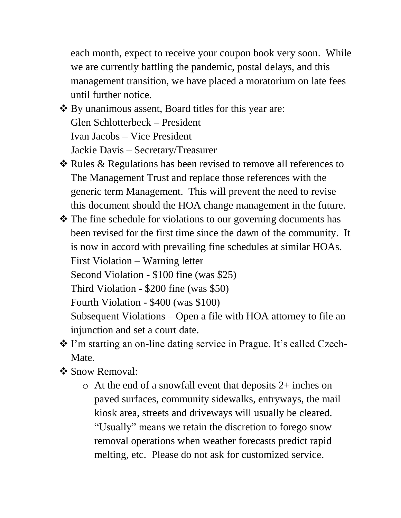each month, expect to receive your coupon book very soon. While we are currently battling the pandemic, postal delays, and this management transition, we have placed a moratorium on late fees until further notice.

- ❖ By unanimous assent, Board titles for this year are: Glen Schlotterbeck – President Ivan Jacobs – Vice President Jackie Davis – Secretary/Treasurer
- ❖ Rules & Regulations has been revised to remove all references to The Management Trust and replace those references with the generic term Management. This will prevent the need to revise this document should the HOA change management in the future.
- The fine schedule for violations to our governing documents has been revised for the first time since the dawn of the community. It is now in accord with prevailing fine schedules at similar HOAs. First Violation – Warning letter Second Violation - \$100 fine (was \$25) Third Violation - \$200 fine (was \$50) Fourth Violation - \$400 (was \$100) Subsequent Violations – Open a file with HOA attorney to file an injunction and set a court date.
- \* I'm starting an on-line dating service in Prague. It's called Czech-Mate.
- ❖ Snow Removal:
	- $\circ$  At the end of a snowfall event that deposits 2+ inches on paved surfaces, community sidewalks, entryways, the mail kiosk area, streets and driveways will usually be cleared. "Usually" means we retain the discretion to forego snow removal operations when weather forecasts predict rapid melting, etc. Please do not ask for customized service.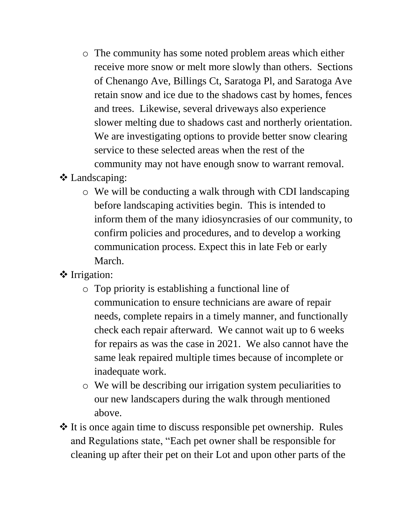o The community has some noted problem areas which either receive more snow or melt more slowly than others. Sections of Chenango Ave, Billings Ct, Saratoga Pl, and Saratoga Ave retain snow and ice due to the shadows cast by homes, fences and trees. Likewise, several driveways also experience slower melting due to shadows cast and northerly orientation. We are investigating options to provide better snow clearing service to these selected areas when the rest of the community may not have enough snow to warrant removal.

## Landscaping:

- o We will be conducting a walk through with CDI landscaping before landscaping activities begin. This is intended to inform them of the many idiosyncrasies of our community, to confirm policies and procedures, and to develop a working communication process. Expect this in late Feb or early March.
- ❖ Irrigation:
	- o Top priority is establishing a functional line of communication to ensure technicians are aware of repair needs, complete repairs in a timely manner, and functionally check each repair afterward. We cannot wait up to 6 weeks for repairs as was the case in 2021. We also cannot have the same leak repaired multiple times because of incomplete or inadequate work.
	- o We will be describing our irrigation system peculiarities to our new landscapers during the walk through mentioned above.
- $\cdot$  It is once again time to discuss responsible pet ownership. Rules and Regulations state, "Each pet owner shall be responsible for cleaning up after their pet on their Lot and upon other parts of the